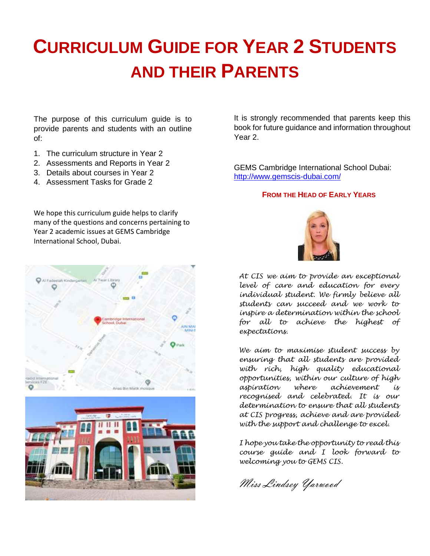## **CURRICULUM GUIDE FOR YEAR 2 STUDENTS AND THEIR PARENTS**

The purpose of this curriculum guide is to provide parents and students with an outline of:

- 1. The curriculum structure in Year 2
- 2. Assessments and Reports in Year 2
- 3. Details about courses in Year 2
- 4. Assessment Tasks for Grade 2

It is strongly recommended that parents keep this book for future guidance and information throughout Year 2.

GEMS Cambridge International School Dubai: <http://www.gemscis-dubai.com/>

#### **FROM THE HEAD OF EARLY YEARS**

We hope this curriculum guide helps to clarify many of the questions and concerns pertaining to Year 2 academic issues at GEMS Cambridge International School, Dubai.







*At CIS we aim to provide an exceptional level of care and education for every individual student. We firmly believe all students can succeed and we work to inspire a determination within the school for all to achieve the highest of expectations.*

*We aim to maximise student success by ensuring that all students are provided with rich, high quality educational opportunities, within our culture of high aspiration where achievement is recognised and celebrated. It is our determination to ensure that all students at CIS progress, achieve and are provided with the support and challenge to excel.*

*I hope you take the opportunity to read this course guide and I look forward to welcoming you to GEMS CIS.*

Miss Lindsey Yarwood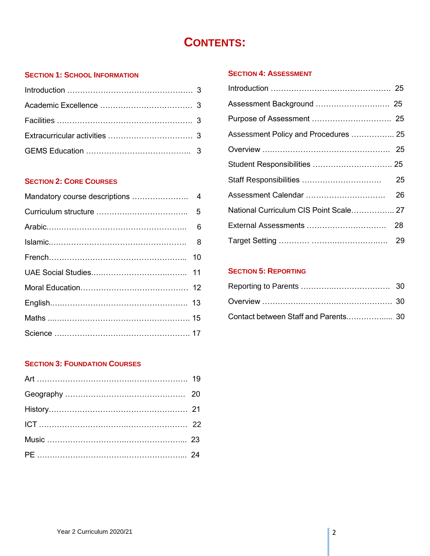## **CONTENTS:**

#### **SECTION 1: SCHOOL INFORMATION**

#### **SECTION 2: CORE COURSES**

#### **SECTION 4: ASSESSMENT**

| Assessment Policy and Procedures  25   |    |
|----------------------------------------|----|
|                                        |    |
|                                        |    |
|                                        | 25 |
|                                        |    |
| National Curriculum CIS Point Scale 27 |    |
|                                        |    |
|                                        |    |

#### **SECTION 5: REPORTING**

#### **…………….. SECTION 3: FOUNDATION COURSES**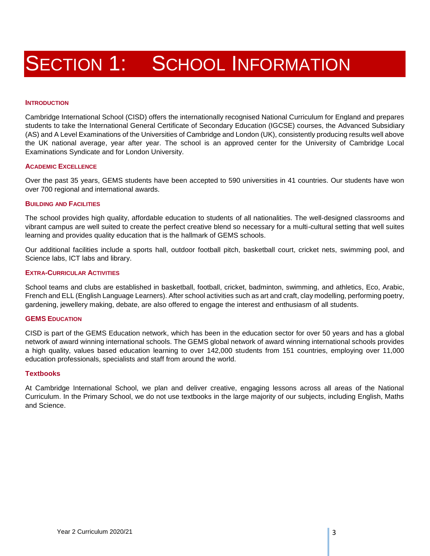# SECTION 1: SCHOOL INFORMATION

#### **INTRODUCTION**

Cambridge International School (CISD) offers the internationally recognised National Curriculum for England and prepares students to take the International General Certificate of Secondary Education (IGCSE) courses, the Advanced Subsidiary (AS) and A Level Examinations of the Universities of Cambridge and London (UK), consistently producing results well above the UK national average, year after year. The school is an approved center for the University of Cambridge Local Examinations Syndicate and for London University.

#### **ACADEMIC EXCELLENCE**

Over the past 35 years, GEMS students have been accepted to 590 universities in 41 countries. Our students have won over 700 regional and international awards.

#### **BUILDING AND FACILITIES**

The school provides high quality, affordable education to students of all nationalities. The well-designed classrooms and vibrant campus are well suited to create the perfect creative blend so necessary for a multi-cultural setting that well suites learning and provides quality education that is the hallmark of GEMS schools.

Our additional facilities include a sports hall, outdoor football pitch, basketball court, cricket nets, swimming pool, and Science labs, ICT labs and library.

#### **EXTRA-CURRICULAR ACTIVITIES**

School teams and clubs are established in basketball, football, cricket, badminton, swimming, and athletics, Eco, Arabic, French and ELL (English Language Learners). After school activities such as art and craft, clay modelling, performing poetry, gardening, jewellery making, debate, are also offered to engage the interest and enthusiasm of all students.

#### **GEMS EDUCATION**

CISD is part of the GEMS Education network, which has been in the education sector for over 50 years and has a global network of award winning international schools. The GEMS global network of award winning international schools provides a high quality, values based education learning to over 142,000 students from 151 countries, employing over 11,000 education professionals, specialists and staff from around the world.

#### **Textbooks**

At Cambridge International School, we plan and deliver creative, engaging lessons across all areas of the National Curriculum. In the Primary School, we do not use textbooks in the large majority of our subjects, including English, Maths and Science.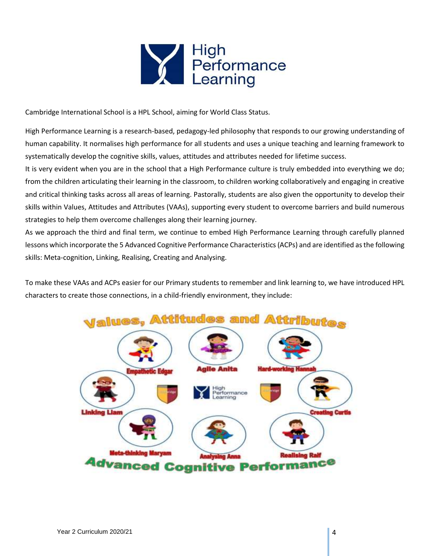

Cambridge International School is a HPL School, aiming for World Class Status.

High Performance Learning is a research-based, pedagogy-led philosophy that responds to our growing understanding of human capability. It normalises high performance for all students and uses a unique teaching and learning framework to systematically develop the cognitive skills, values, attitudes and attributes needed for lifetime success.

It is very evident when you are in the school that a High Performance culture is truly embedded into everything we do; from the children articulating their learning in the classroom, to children working collaboratively and engaging in creative and critical thinking tasks across all areas of learning. Pastorally, students are also given the opportunity to develop their skills within Values, Attitudes and Attributes (VAAs), supporting every student to overcome barriers and build numerous strategies to help them overcome challenges along their learning journey.

As we approach the third and final term, we continue to embed High Performance Learning through carefully planned lessons which incorporate the 5 Advanced Cognitive Performance Characteristics (ACPs) and are identified as the following skills: Meta-cognition, Linking, Realising, Creating and Analysing.

To make these VAAs and ACPs easier for our Primary students to remember and link learning to, we have introduced HPL characters to create those connections, in a child-friendly environment, they include:

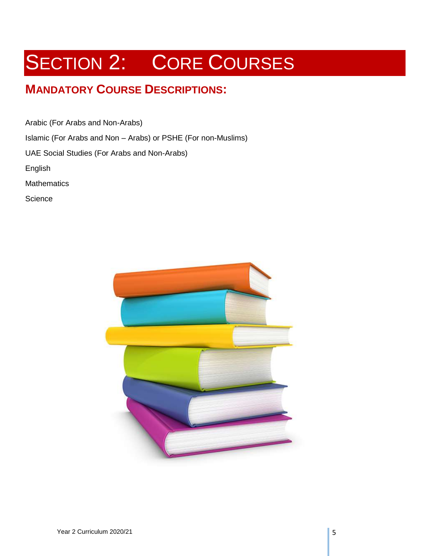## SECTION 2: CORE COURSES

## **MANDATORY COURSE DESCRIPTIONS:**

Arabic (For Arabs and Non-Arabs)

Islamic (For Arabs and Non – Arabs) or PSHE (For non-Muslims)

UAE Social Studies (For Arabs and Non-Arabs)

English

**Mathematics** 

**Science** 

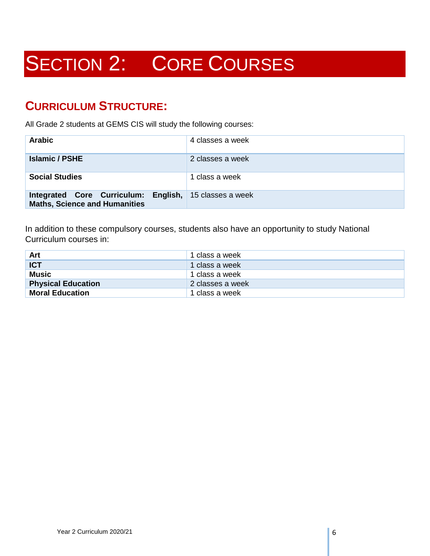# SECTION 2: CORE COURSES

## **CURRICULUM STRUCTURE:**

All Grade 2 students at GEMS CIS will study the following courses:

| <b>Arabic</b>                                                                                  | 4 classes a week |
|------------------------------------------------------------------------------------------------|------------------|
| <b>Islamic / PSHE</b>                                                                          | 2 classes a week |
| <b>Social Studies</b>                                                                          | 1 class a week   |
| Integrated Core Curriculum: English, 15 classes a week<br><b>Maths, Science and Humanities</b> |                  |

In addition to these compulsory courses, students also have an opportunity to study National Curriculum courses in:

| Art                       | 1 class a week   |
|---------------------------|------------------|
| <b>ICT</b>                | 1 class a week   |
| Music                     | 1 class a week   |
| <b>Physical Education</b> | 2 classes a week |
| <b>Moral Education</b>    | 1 class a week   |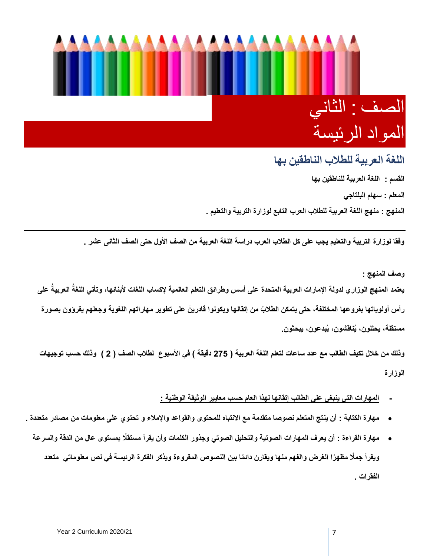

**اللغة العربية للطالب الناطقين بها القسم : اللغة العربية للناطقين بها المعلم : سهام البلتاجي المنهج : منهج اللغة العربية للطالب العرب التابع لوزارة التربية والتعليم .**

**وفقا لوزارة التربية والتعليم يجب على كل الطالب العرب دراسة اللغة العربية من الصف األول حتى الصف الثانى عشر .**

#### **وصف المنهج :**

**العربيةُ على يعتمد المنهج الوزاري لدولة اإلمارات العربية المتحدة على أسس وطرائق التعلم العالمية إلكساب اللغات ألبنائها، وتأتي اللغةُ** رأس أولوياتها بفروعها المختلفة، حتى يتمكن الطلابُ من إتقانها ويكونوا قادرينَ على تطوير مهاراتهم اللغوية وجعلهم يقرؤون بصورة **مستقلة، يحللون، يُناقشون، يُبدعون، يبحثون.**

**وذلك من خالل تكيف الطالب مع عدد ساعات لتعلم اللغة العربية ) 275 دقيقة ( في األسبوع لطالب الصف ) 2 ( وذلك حسب توجيهات الوزارة**

- **- المهارات التي ينبغي على الطالب إتقانها لهذا العام حسب معايير الوثيقة الوطنية :**
- **مهارة الكتابة : أن ينتج المتعلم نصوصا متقدمة مع االنتباه للمحتوى والقواعد واإلمالء و تحتوي على معلومات من مصادر متعددة .**
	- مهارة القراءة : أن يعرف المهارات الصوتية والتحليل الصوتي وجذور الكلمات وأن يقرأ مستقلًا بمستوى عال من الدقة والسرعة ويقرأ جملًا مظهرًا الغرض والفهم منها ويقارن دائمًا بين النصوص المقروءة ويذكر الفكرة الرئيسة في نص معلوماتي متعدد **الفقرات .**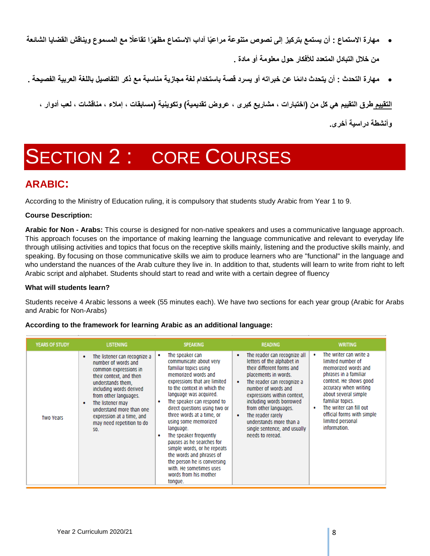- مهارة الاستماع : أن يستمع بتركيز إلى نصوص متنوعة مراعيًا آداب الاستماع مظهرًا تقاعلًا مع المسموع ويناقش القضايا الشائعة **من خالل التبادل المتعدد لألفكار حول معلومة أو مادة .**
- **مهارة التحدث : أن يتحدث دائ اما عن خبراته أو يسرد قصة باستخدام لغة مجازية مناسبة مع ذكر التفاصيل باللغة العربية الفصيحة .**

التقييم طرق التقييم هي كل من (اختبارات ، مشاريع كبرى ، عروض تقديمية) وتكوينية (مسابقات ، إملاء ، مناقشات ، لعب أدوار ،

**وأنشطة دراسية أخرى.**

## SECTION 2 : CORE COURSES

#### **ARABIC:**

According to the Ministry of Education ruling, it is compulsory that students study Arabic from Year 1 to 9.

#### **Course Description:**

**Arabic for Non - Arabs:** This course is designed for non-native speakers and uses a communicative language approach. This approach focuses on the importance of making learning the language communicative and relevant to everyday life through utilising activities and topics that focus on the receptive skills mainly, listening and the productive skills mainly, and speaking. By focusing on those communicative skills we aim to produce learners who are "functional" in the language and who understand the nuances of the Arab culture they live in. In addition to that, students will learn to write from right to left Arabic script and alphabet. Students should start to read and write with a certain degree of fluency

#### **What will students learn?**

Students receive 4 Arabic lessons a week (55 minutes each). We have two sections for each year group (Arabic for Arabs and Arabic for Non-Arabs)

| YEARS OF STUDY   | <b>LISTENING</b>                                                                                                                                                                                                                                                                                            | <b>SPEAKING</b>                                                                                                                                                                                                                                                                                                                                                                                                                                                                                                                          | <b>READING</b>                                                                                                                                                                                                                                                                                                                                                         | <b>WRITING</b>                                                                                                                                                                                                                                                                                       |
|------------------|-------------------------------------------------------------------------------------------------------------------------------------------------------------------------------------------------------------------------------------------------------------------------------------------------------------|------------------------------------------------------------------------------------------------------------------------------------------------------------------------------------------------------------------------------------------------------------------------------------------------------------------------------------------------------------------------------------------------------------------------------------------------------------------------------------------------------------------------------------------|------------------------------------------------------------------------------------------------------------------------------------------------------------------------------------------------------------------------------------------------------------------------------------------------------------------------------------------------------------------------|------------------------------------------------------------------------------------------------------------------------------------------------------------------------------------------------------------------------------------------------------------------------------------------------------|
| <b>Two Years</b> | The listener can recognize a<br>٠<br>number of words and<br>common expressions in<br>their context, and then<br>understands them.<br>including words derived<br>from other languages.<br>The listener may<br>٠<br>understand more than one<br>expression at a time, and<br>may need repetition to do<br>50. | The speaker can<br>٠<br>communicate about very<br>familiar topics using<br>memorized words and<br>expressions that are limited<br>to the context in which the<br>language was acquired.<br>The speaker can respond to<br>direct questions using two or<br>three words at a time, or<br>using some memorized<br>language.<br>The speaker frequently<br>pauses as he searches for<br>simple words, or he repeats<br>the words and phrases of<br>the person he is conversing<br>with. He sometimes uses<br>words from his mother<br>tonque. | The reader can recognize all<br>۰<br>letters of the alphabet in<br>their different forms and<br>placements in words.<br>The reader can recognize a<br>number of words and<br>expressions within context,<br>including words borrowed<br>from other languages.<br>The reader rarely<br>۰<br>understands more than a<br>single sentence, and usually<br>needs to reread. | The writer can write a<br>limited number of<br>memorized words and<br>phrases in a familiar<br>context. He shows good<br>accuracy when writing<br>about several simple<br>familiar topics.<br>The writer can fill out<br>$\bullet$<br>official forms with simple<br>limited personal<br>information. |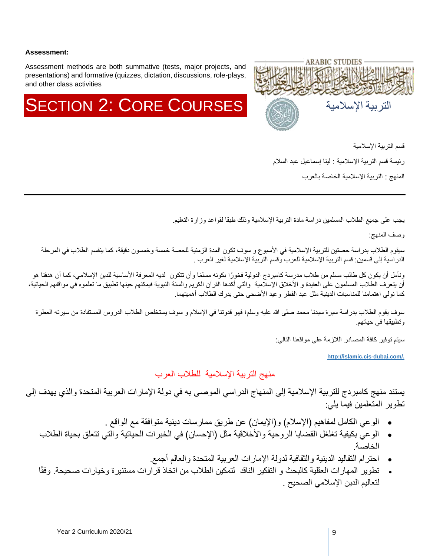#### **Assessment:**

Assessment methods are both summative (tests, major projects, and presentations) and formative (quizzes, dictation, discussions, role-plays, and other class activities





قسم التربية اإلسالمية رئيسة قسم التربية اإلسالمية : لينا إسماعيل عبد السالم المنهج : التربية اإلسالمية الخاصة بالعرب

يجب على جميع الطالب المسلمين دراسة مادة التربية اإلسالمية وذلك طبقا لقواعد وزارة التعليم.

وصف المنهج:

سيقوم الطلاب بدراسة حصتين للتربية الإسلامية في الأسبوع و سوف تكون المدة الزمنية للحصة خمسة وخمسون دقيقة، كما ينقسم الطلاب في المرحلة الدراسية إلى قسمين: قسم التربية الإسلامية للعرب وقسم التربية الإسلامية لغير العرب .

ونأمل أن يكون كل طالب مسلم من طلاب مدرسة كامبردج الدولية فخورًا بكونه مسلمًا وأن تتكون لديه المعرفة الأساسية للدين الإسلامي، كما أن هدفنا هو أن يتعرف الطلاب المسلمون على العقيدة و الأخلاق الإسلامية والتي أكدها القرآن الكريم والسنة النبوية فيمكنهم حينها تطبيق ما تعلموه في مواقفهم الحياتية، كما نولى اهتمامنا للمناسبات الدينية مثل عيد الفطر وعيد الأضحى حتى يدر ك الطلاب أهميتهما.

سوف يقوم الطلاب بدراسة سيرة سيدنا محمد صلى الله عليه وسلم؛ فهو قدوتنا في الإسلام و سوف يستخلص الطلاب الدروس المستفادة من سيرته العطرة وتطبيقها في حياتهم.

سيتم توفير كافة المصادر الالزمة على مواقعنا التالي:

**http://islamic.cis-dubai.com/.**

#### منهج التربية اإلسالمية للطالب العرب

يستند منهج كامبردج للتربية اإلسالمية إلى المنهاج الدراسي الموصى به في دولة اإلمارات العربية المتحدة والذي يهدف إلى تطوير المتعلمين فيما يلي:

- الوعي الكامل لمفاهيم )اإلسالم( و)اإليمان( عن طريق ممارسات دينية متوافقة مع الواقع .
- الوعي بكيفية تغلغل القضايا الروحية واألخالقية مثل )اإلحسان( في الخبرات الحياتية والتي تتعلق بحياة الطالب الخاصة.
	- احترام التقاليد الدينية والثقافية لدولة اإلمارات العربية المتحدة والعالم أجمع.
- تطوير المهارات العقلية كالبحث و التفكير الناقد لتمكين الطالب من اتخاذ قرارات مستنيرة وخيارات صحيحة. وفقًا لتعاليم الدين اإلسالمي الصحيح .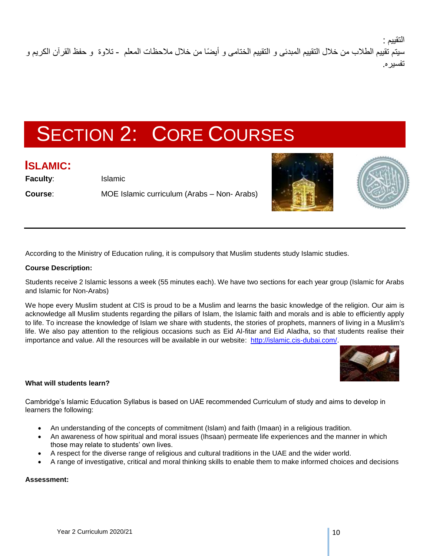التقييم : سيتم تقييم الطلاب من خلال التقييم المبدئي و التقييم الختامي و أيضًا من خلال ملاحظات المعلم - تلاوة و حفظ القرآن الكريم و تفسيره.

## **SECTION 2: CORE COURSES**

### **ISLAMIC:**

**Faculty:** Islamic

**Course**: MOE Islamic curriculum (Arabs – Non- Arabs)





According to the Ministry of Education ruling, it is compulsory that Muslim students study Islamic studies.

#### **Course Description:**

Students receive 2 Islamic lessons a week (55 minutes each). We have two sections for each year group (Islamic for Arabs and Islamic for Non-Arabs)

We hope every Muslim student at CIS is proud to be a Muslim and learns the basic knowledge of the religion. Our aim is acknowledge all Muslim students regarding the pillars of Islam, the Islamic faith and morals and is able to efficiently apply to life. To increase the knowledge of Islam we share with students, the stories of prophets, manners of living in a Muslim's life. We also pay attention to the religious occasions such as Eid Al-fitar and Eid Aladha, so that students realise their importance and value. All the resources will be available in our website: [http://islamic.cis-dubai.com/.](http://islamic.cis-dubai.com/)



#### **What will students learn?**

Cambridge's Islamic Education Syllabus is based on UAE recommended Curriculum of study and aims to develop in learners the following:

- An understanding of the concepts of commitment (Islam) and faith (Imaan) in a religious tradition.
- An awareness of how spiritual and moral issues (Ihsaan) permeate life experiences and the manner in which those may relate to students' own lives.
- A respect for the diverse range of religious and cultural traditions in the UAE and the wider world.
- A range of investigative, critical and moral thinking skills to enable them to make informed choices and decisions

#### **Assessment:**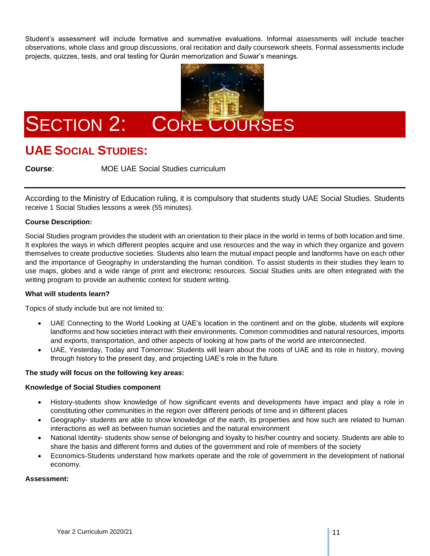Student's assessment will include formative and summative evaluations. Informal assessments will include teacher observations, whole class and group discussions, oral recitation and daily coursework sheets. Formal assessments include projects, quizzes, tests, and oral testing for Qurán memorization and Suwar's meanings.



## SECTION 2: CORE COURSES

## **UAE SOCIAL STUDIES:**

**Course**: MOE UAE Social Studies curriculum

According to the Ministry of Education ruling, it is compulsory that students study UAE Social Studies. Students receive 1 Social Studies lessons a week (55 minutes).

#### **Course Description:**

Social Studies program provides the student with an orientation to their place in the world in terms of both location and time. It explores the ways in which different peoples acquire and use resources and the way in which they organize and govern themselves to create productive societies. Students also learn the mutual impact people and landforms have on each other and the importance of Geography in understanding the human condition. To assist students in their studies they learn to use maps, globes and a wide range of print and electronic resources. Social Studies units are often integrated with the writing program to provide an authentic context for student writing.

#### **What will students learn?**

Topics of study include but are not limited to:

- UAE Connecting to the World Looking at UAE's location in the continent and on the globe, students will explore landforms and how societies interact with their environments. Common commodities and natural resources, imports and exports, transportation, and other aspects of looking at how parts of the world are interconnected.
- UAE, Yesterday, Today and Tomorrow: Students will learn about the roots of UAE and its role in history, moving through history to the present day, and projecting UAE's role in the future.

#### **The study will focus on the following key areas:**

#### **Knowledge of Social Studies component**

- History-students show knowledge of how significant events and developments have impact and play a role in constituting other communities in the region over different periods of time and in different places
- Geography- students are able to show knowledge of the earth, its properties and how such are related to human interactions as well as between human societies and the natural environment
- National Identity- students show sense of belonging and loyalty to his/her country and society. Students are able to share the basis and different forms and duties of the government and role of members of the society
- Economics-Students understand how markets operate and the role of government in the development of national economy.

#### **Assessment:**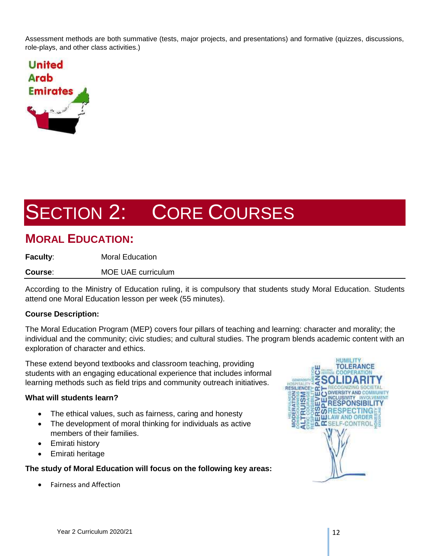Assessment methods are both summative (tests, major projects, and presentations) and formative (quizzes, discussions, role-plays, and other class activities.)



## SECTION 2: CORE COURSES

## **MORAL EDUCATION:**

**Faculty:** Moral Education

**Course**: MOE UAE curriculum

According to the Ministry of Education ruling, it is compulsory that students study Moral Education. Students attend one Moral Education lesson per week (55 minutes).

#### **Course Description:**

The Moral Education Program (MEP) covers four pillars of teaching and learning: character and morality; the individual and the community; civic studies; and cultural studies. The program blends academic content with an exploration of character and ethics.

These extend beyond textbooks and classroom teaching, providing students with an engaging educational experience that includes informal learning methods such as field trips and community outreach initiatives.

#### **What will students learn?**

- The ethical values, such as fairness, caring and honesty
- The development of moral thinking for individuals as active members of their families.
- Emirati history
- Emirati heritage

#### **The study of Moral Education will focus on the following key areas:**

• Fairness and Affection

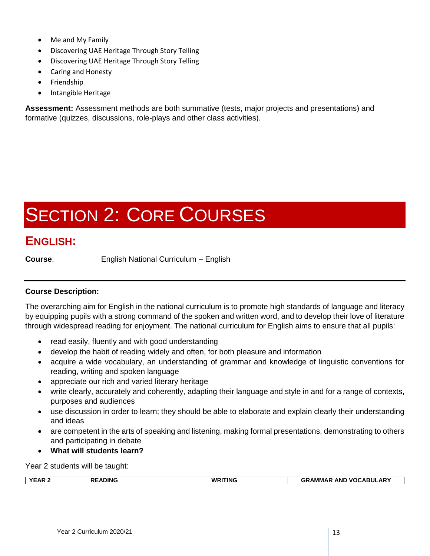- Me and My Family
- Discovering UAE Heritage Through Story Telling
- Discovering UAE Heritage Through Story Telling
- Caring and Honesty
- Friendship
- Intangible Heritage

**Assessment:** Assessment methods are both summative (tests, major projects and presentations) and formative (quizzes, discussions, role-plays and other class activities).

## **SECTION 2: CORE COURSES**

### **ENGLISH:**

**Course**: English National Curriculum – English

#### **Course Description:**

The overarching aim for English in the national curriculum is to promote high standards of language and literacy by equipping pupils with a strong command of the spoken and written word, and to develop their love of literature through widespread reading for enjoyment. The national curriculum for English aims to ensure that all pupils:

- read easily, fluently and with good understanding
- develop the habit of reading widely and often, for both pleasure and information
- acquire a wide vocabulary, an understanding of grammar and knowledge of linguistic conventions for reading, writing and spoken language
- appreciate our rich and varied literary heritage
- write clearly, accurately and coherently, adapting their language and style in and for a range of contexts, purposes and audiences
- use discussion in order to learn; they should be able to elaborate and explain clearly their understanding and ideas
- are competent in the arts of speaking and listening, making formal presentations, demonstrating to others and participating in debate
- **What will students learn?**

Year 2 students will be taught:

| <b>YEAR</b><br><b>ADING</b> | <b>WRITIN</b><br>FING | <b>VOCABULARY</b><br><b>ANF</b><br>…∧MM^∵ |
|-----------------------------|-----------------------|-------------------------------------------|
|-----------------------------|-----------------------|-------------------------------------------|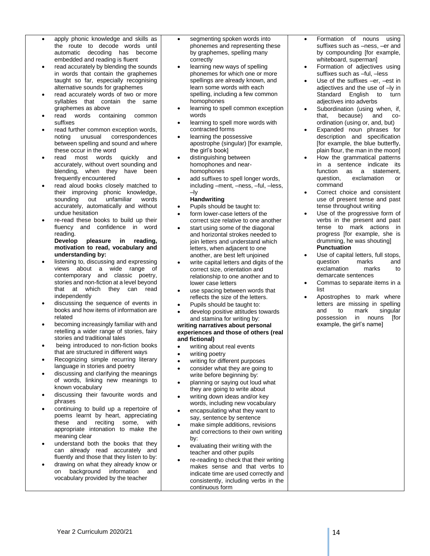- apply phonic knowledge and skills as the route to decode words until automatic decoding has become embedded and reading is fluent
- read accurately by blending the sounds in words that contain the graphemes taught so far, especially recognising alternative sounds for graphemes
- read accurately words of two or more syllables that contain the same graphemes as above
- read words containing common suffixes
- read further common exception words, noting unusual correspondences between spelling and sound and where these occur in the word
- read most words quickly and accurately, without overt sounding and blending, when they have been frequently encountered
- read aloud books closely matched to their improving phonic knowledge, sounding out unfamiliar words accurately, automatically and without undue hesitation
- re-read these books to build up their fluency and confidence in word reading. **Develop pleasure in reading,**

#### **motivation to read, vocabulary and understanding by:**

- listening to, discussing and expressing views about a wide range of contemporary and classic poetry, stories and non-fiction at a level beyond that at which they can read independently
- discussing the sequence of events in books and how items of information are related
- becoming increasingly familiar with and retelling a wider range of stories, fairy stories and traditional tales
- being introduced to non-fiction books that are structured in different ways
- Recognizing simple recurring literary language in stories and poetry
- discussing and clarifying the meanings of words, linking new meanings to known vocabulary
- discussing their favourite words and phrases
- continuing to build up a repertoire of poems learnt by heart, appreciating these and reciting some, with appropriate intonation to make the meaning clear
- understand both the books that they can already read accurately and fluently and those that they listen to by:
- drawing on what they already know or on background information and vocabulary provided by the teacher
- segmenting spoken words into phonemes and representing these by graphemes, spelling many correctly
- learning new ways of spelling phonemes for which one or more spellings are already known, and learn some words with each spelling, including a few common homophones
- learning to spell common exception words
- learning to spell more words with contracted forms
- learning the possessive apostrophe (singular) [for example, the girl's book]
- distinguishing between homophones and nearhomophones
- add suffixes to spell longer words, including –ment, –ness, –ful, –less, –ly

#### **Handwriting**

- Pupils should be taught to:
- form lower-case letters of the correct size relative to one another
- start using some of the diagonal and horizontal strokes needed to join letters and understand which letters, when adjacent to one another, are best left unjoined
- write capital letters and digits of the correct size, orientation and relationship to one another and to lower case letters
- use spacing between words that reflects the size of the letters.
- Pupils should be taught to:
- develop positive attitudes towards and stamina for writing by: **writing narratives about personal experiences and those of others (real and fictional)**
- writing about real events
- writing poetry
- writing for different purposes
- consider what they are going to write before beginning by:
- planning or saying out loud what they are going to write about
- writing down ideas and/or key words, including new vocabulary
- encapsulating what they want to say, sentence by sentence
- make simple additions, revisions and corrections to their own writing by:
- evaluating their writing with the teacher and other pupils
- re-reading to check that their writing makes sense and that verbs to indicate time are used correctly and consistently, including verbs in the continuous form
- Formation of nouns using suffixes such as –ness, –er and by compounding [for example, whiteboard, superman]
- Formation of adjectives using suffixes such as –ful, –less
- Use of the suffixes  $-er$ ,  $-est$  in adjectives and the use of –ly in Standard English to turn adjectives into adverbs
- Subordination (using when, if, that, because) and coordination (using or, and, but)
- Expanded noun phrases for description and specification [for example, the blue butterfly, plain flour, the man in the moon]
- How the grammatical patterns in a sentence indicate its function as a statement, question, exclamation or command
- Correct choice and consistent use of present tense and past tense throughout writing
- Use of the progressive form of verbs in the present and past tense to mark actions in progress [for example, she is drumming, he was shouting] **Punctuation**
- Use of capital letters, full stops,<br>question marks and question marks and exclamation marks to demarcate sentences
- Commas to separate items in a list
- Apostrophes to mark where letters are missing in spelling and to mark singular possession in nouns [for example, the girl's name]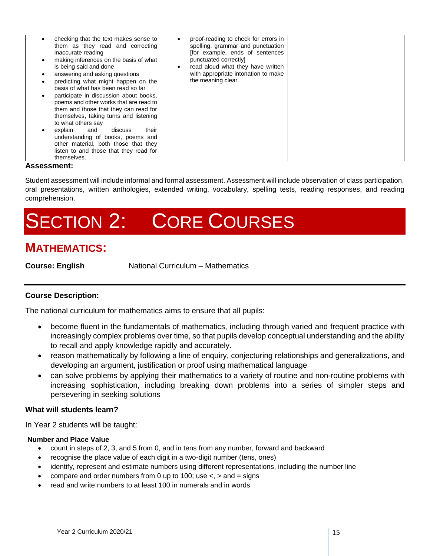| checking that the text makes sense to<br>them as they read and correcting<br>inaccurate reading<br>making inferences on the basis of what<br>is being said and done<br>answering and asking questions<br>predicting what might happen on the<br>basis of what has been read so far                           | proof-reading to check for errors in<br>spelling, grammar and punctuation<br>ffor example, ends of sentences<br>punctuated correctly]<br>read aloud what they have written<br>with appropriate intonation to make<br>the meaning clear. |  |
|--------------------------------------------------------------------------------------------------------------------------------------------------------------------------------------------------------------------------------------------------------------------------------------------------------------|-----------------------------------------------------------------------------------------------------------------------------------------------------------------------------------------------------------------------------------------|--|
| participate in discussion about books,<br>poems and other works that are read to<br>them and those that they can read for<br>themselves, taking turns and listening<br>to what others say<br>explain<br>and<br>their<br>discuss<br>understanding of books, poems and<br>other material, both those that they |                                                                                                                                                                                                                                         |  |
| listen to and those that they read for<br>themselves.                                                                                                                                                                                                                                                        |                                                                                                                                                                                                                                         |  |

#### **Assessment:**

Student assessment will include informal and formal assessment. Assessment will include observation of class participation, oral presentations, written anthologies, extended writing, vocabulary, spelling tests, reading responses, and reading comprehension.

# SECTION 2: CORE COURSES

### **MATHEMATICS:**

**Course: English** National Curriculum – Mathematics

#### **Course Description:**

The national curriculum for mathematics aims to ensure that all pupils:

- become fluent in the fundamentals of mathematics, including through varied and frequent practice with increasingly complex problems over time, so that pupils develop conceptual understanding and the ability to recall and apply knowledge rapidly and accurately.
- reason mathematically by following a line of enquiry, conjecturing relationships and generalizations, and developing an argument, justification or proof using mathematical language
- can solve problems by applying their mathematics to a variety of routine and non-routine problems with increasing sophistication, including breaking down problems into a series of simpler steps and persevering in seeking solutions

#### **What will students learn?**

In Year 2 students will be taught:

#### **Number and Place Value**

- count in steps of 2, 3, and 5 from 0, and in tens from any number, forward and backward
- recognise the place value of each digit in a two-digit number (tens, ones)
- identify, represent and estimate numbers using different representations, including the number line
- compare and order numbers from 0 up to 100; use  $\lt$ ,  $>$  and  $=$  signs
- read and write numbers to at least 100 in numerals and in words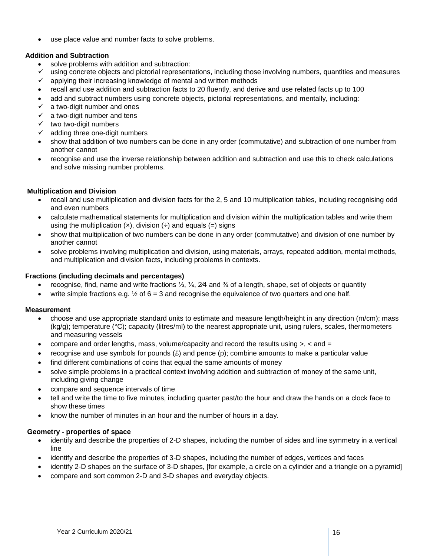use place value and number facts to solve problems.

#### **Addition and Subtraction**

- solve problems with addition and subtraction:
- ✓ using concrete objects and pictorial representations, including those involving numbers, quantities and measures
- $\checkmark$  applying their increasing knowledge of mental and written methods
- recall and use addition and subtraction facts to 20 fluently, and derive and use related facts up to 100
- add and subtract numbers using concrete objects, pictorial representations, and mentally, including:
- $\checkmark$  a two-digit number and ones
- $\checkmark$  a two-digit number and tens
- ✓ two two-digit numbers
- $\checkmark$  adding three one-digit numbers
- show that addition of two numbers can be done in any order (commutative) and subtraction of one number from another cannot
- recognise and use the inverse relationship between addition and subtraction and use this to check calculations and solve missing number problems.

#### **Multiplication and Division**

- recall and use multiplication and division facts for the 2, 5 and 10 multiplication tables, including recognising odd and even numbers
- calculate mathematical statements for multiplication and division within the multiplication tables and write them using the multiplication  $(x)$ , division  $(+)$  and equals  $(=)$  signs
- show that multiplication of two numbers can be done in any order (commutative) and division of one number by another cannot
- solve problems involving multiplication and division, using materials, arrays, repeated addition, mental methods, and multiplication and division facts, including problems in contexts.

#### **Fractions (including decimals and percentages)**

- recognise, find, name and write fractions ⅓, ¼, 2⁄4 and ¾ of a length, shape, set of objects or quantity
- write simple fractions e.g.  $\frac{1}{2}$  of 6 = 3 and recognise the equivalence of two quarters and one half.

#### **Measurement**

- choose and use appropriate standard units to estimate and measure length/height in any direction (m/cm); mass (kg/g); temperature (°C); capacity (litres/ml) to the nearest appropriate unit, using rulers, scales, thermometers and measuring vessels
- compare and order lengths, mass, volume/capacity and record the results using  $\rightarrow$ ,  $\lt$  and  $\lt$
- recognise and use symbols for pounds  $(E)$  and pence (p); combine amounts to make a particular value
- find different combinations of coins that equal the same amounts of money
- solve simple problems in a practical context involving addition and subtraction of money of the same unit, including giving change
- compare and sequence intervals of time
- tell and write the time to five minutes, including quarter past/to the hour and draw the hands on a clock face to show these times
- know the number of minutes in an hour and the number of hours in a day.

#### **Geometry - properties of space**

- identify and describe the properties of 2-D shapes, including the number of sides and line symmetry in a vertical line
- identify and describe the properties of 3-D shapes, including the number of edges, vertices and faces
- identify 2-D shapes on the surface of 3-D shapes, [for example, a circle on a cylinder and a triangle on a pyramid]
- compare and sort common 2-D and 3-D shapes and everyday objects.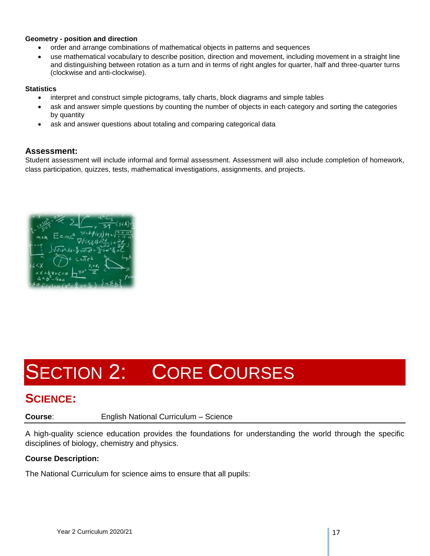#### **Geometry - position and direction**

- order and arrange combinations of mathematical objects in patterns and sequences
- use mathematical vocabulary to describe position, direction and movement, including movement in a straight line and distinguishing between rotation as a turn and in terms of right angles for quarter, half and three-quarter turns (clockwise and anti-clockwise).

#### **Statistics**

- interpret and construct simple pictograms, tally charts, block diagrams and simple tables
- ask and answer simple questions by counting the number of objects in each category and sorting the categories by quantity
- ask and answer questions about totaling and comparing categorical data

#### **Assessment:**

Student assessment will include informal and formal assessment. Assessment will also include completion of homework, class participation, quizzes, tests, mathematical investigations, assignments, and projects.



# SECTION 2: CORE COURSES

### **SCIENCE:**

**Course**: English National Curriculum – Science

A high-quality science education provides the foundations for understanding the world through the specific disciplines of biology, chemistry and physics.

#### **Course Description:**

The National Curriculum for science aims to ensure that all pupils: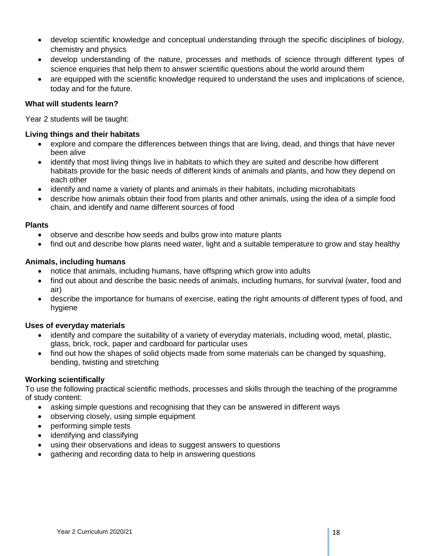- develop scientific knowledge and conceptual understanding through the specific disciplines of biology, chemistry and physics
- develop understanding of the nature, processes and methods of science through different types of science enquiries that help them to answer scientific questions about the world around them
- are equipped with the scientific knowledge required to understand the uses and implications of science, today and for the future.

#### **What will students learn?**

Year 2 students will be taught:

#### **Living things and their habitats**

- explore and compare the differences between things that are living, dead, and things that have never been alive
- identify that most living things live in habitats to which they are suited and describe how different habitats provide for the basic needs of different kinds of animals and plants, and how they depend on each other
- identify and name a variety of plants and animals in their habitats, including microhabitats
- describe how animals obtain their food from plants and other animals, using the idea of a simple food chain, and identify and name different sources of food

#### **Plants**

- observe and describe how seeds and bulbs grow into mature plants
- find out and describe how plants need water, light and a suitable temperature to grow and stay healthy

#### **Animals, including humans**

- notice that animals, including humans, have offspring which grow into adults
- find out about and describe the basic needs of animals, including humans, for survival (water, food and air)
- describe the importance for humans of exercise, eating the right amounts of different types of food, and hygiene

#### **Uses of everyday materials**

- identify and compare the suitability of a variety of everyday materials, including wood, metal, plastic, glass, brick, rock, paper and cardboard for particular uses
- find out how the shapes of solid objects made from some materials can be changed by squashing, bending, twisting and stretching

#### **Working scientifically**

To use the following practical scientific methods, processes and skills through the teaching of the programme of study content:

- asking simple questions and recognising that they can be answered in different ways
- observing closely, using simple equipment
- performing simple tests
- identifying and classifying
- using their observations and ideas to suggest answers to questions
- gathering and recording data to help in answering questions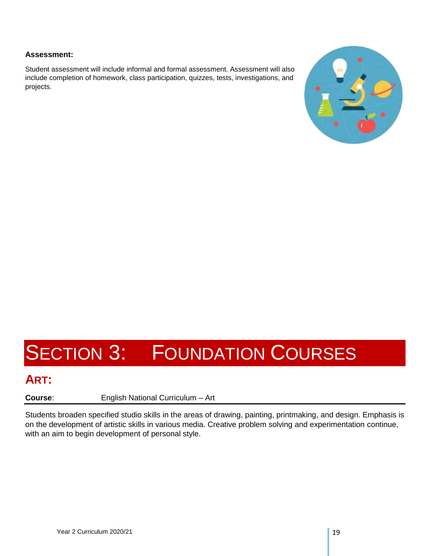#### **Assessment:**

Student assessment will include informal and formal assessment. Assessment will also include completion of homework, class participation, quizzes, tests, investigations, and projects.



# SECTION 3: FOUNDATION COURSES

## **ART:**

**Course**: English National Curriculum – Art

Students broaden specified studio skills in the areas of drawing, painting, printmaking, and design. Emphasis is on the development of artistic skills in various media. Creative problem solving and experimentation continue, with an aim to begin development of personal style.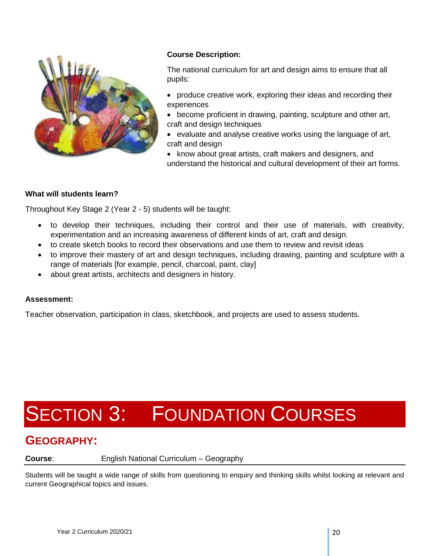

#### **Course Description:**

The national curriculum for art and design aims to ensure that all pupils:

- produce creative work, exploring their ideas and recording their experiences
- become proficient in drawing, painting, sculpture and other art, craft and design techniques
- evaluate and analyse creative works using the language of art, craft and design
- know about great artists, craft makers and designers, and understand the historical and cultural development of their art forms.

#### **What will students learn?**

Throughout Key Stage 2 (Year 2 - 5) students will be taught:

- to develop their techniques, including their control and their use of materials, with creativity, experimentation and an increasing awareness of different kinds of art, craft and design.
- to create sketch books to record their observations and use them to review and revisit ideas
- to improve their mastery of art and design techniques, including drawing, painting and sculpture with a range of materials [for example, pencil, charcoal, paint, clay]
- about great artists, architects and designers in history.

#### **Assessment:**

Teacher observation, participation in class, sketchbook, and projects are used to assess students.

## SECTION 3: FOUNDATION COURSES

### **GEOGRAPHY:**

#### **Course:** English National Curriculum – Geography

Students will be taught a wide range of skills from questioning to enquiry and thinking skills whilst looking at relevant and current Geographical topics and issues.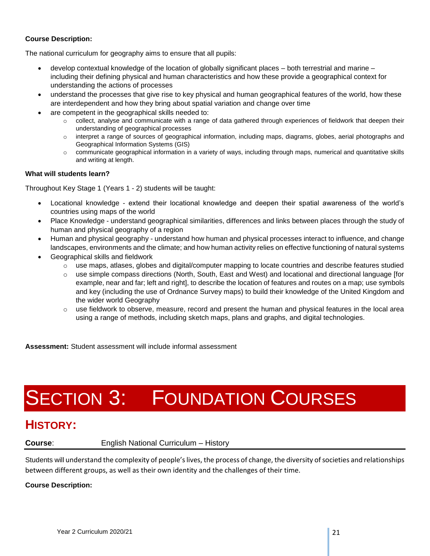#### **Course Description:**

The national curriculum for geography aims to ensure that all pupils:

- develop contextual knowledge of the location of globally significant places both terrestrial and marine including their defining physical and human characteristics and how these provide a geographical context for understanding the actions of processes
- understand the processes that give rise to key physical and human geographical features of the world, how these are interdependent and how they bring about spatial variation and change over time
- are competent in the geographical skills needed to:
	- $\circ$  collect, analyse and communicate with a range of data gathered through experiences of fieldwork that deepen their understanding of geographical processes
	- o interpret a range of sources of geographical information, including maps, diagrams, globes, aerial photographs and Geographical Information Systems (GIS)
	- $\circ$  communicate geographical information in a variety of ways, including through maps, numerical and quantitative skills and writing at length.

#### **What will students learn?**

Throughout Key Stage 1 (Years 1 - 2) students will be taught:

- Locational knowledge extend their locational knowledge and deepen their spatial awareness of the world's countries using maps of the world
- Place Knowledge understand geographical similarities, differences and links between places through the study of human and physical geography of a region
- Human and physical geography understand how human and physical processes interact to influence, and change landscapes, environments and the climate; and how human activity relies on effective functioning of natural systems
- Geographical skills and fieldwork
	- o use maps, atlases, globes and digital/computer mapping to locate countries and describe features studied
	- o use simple compass directions (North, South, East and West) and locational and directional language [for example, near and far; left and right], to describe the location of features and routes on a map; use symbols and key (including the use of Ordnance Survey maps) to build their knowledge of the United Kingdom and the wider world Geography
	- $\circ$  use fieldwork to observe, measure, record and present the human and physical features in the local area using a range of methods, including sketch maps, plans and graphs, and digital technologies.

**Assessment:** Student assessment will include informal assessment

## SECTION 3: FOUNDATION COURSES

## **HISTORY:**

**Course**: English National Curriculum – History

Students will understand the complexity of people's lives, the process of change, the diversity of societies and relationships between different groups, as well as their own identity and the challenges of their time.

#### **Course Description:**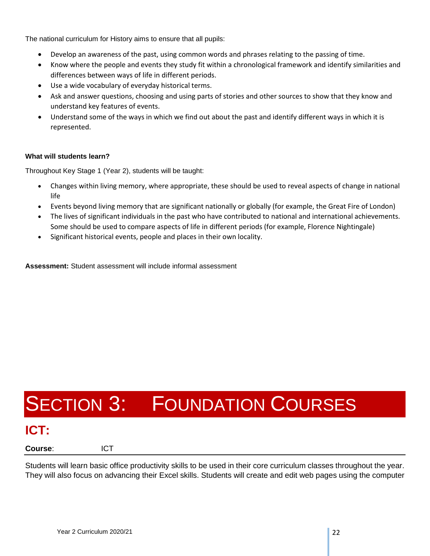The national curriculum for History aims to ensure that all pupils:

- Develop an awareness of the past, using common words and phrases relating to the passing of time.
- Know where the people and events they study fit within a chronological framework and identify similarities and differences between ways of life in different periods.
- Use a wide vocabulary of everyday historical terms.
- Ask and answer questions, choosing and using parts of stories and other sources to show that they know and understand key features of events.
- Understand some of the ways in which we find out about the past and identify different ways in which it is represented.

#### **What will students learn?**

Throughout Key Stage 1 (Year 2), students will be taught:

- Changes within living memory, where appropriate, these should be used to reveal aspects of change in national life
- Events beyond living memory that are significant nationally or globally (for example, the Great Fire of London)
- The lives of significant individuals in the past who have contributed to national and international achievements. Some should be used to compare aspects of life in different periods (for example, Florence Nightingale)
- Significant historical events, people and places in their own locality.

**Assessment:** Student assessment will include informal assessment

# SECTION 3: FOUNDATION COURSES

## **ICT:**

**Course**: ICT

Students will learn basic office productivity skills to be used in their core curriculum classes throughout the year. They will also focus on advancing their Excel skills. Students will create and edit web pages using the computer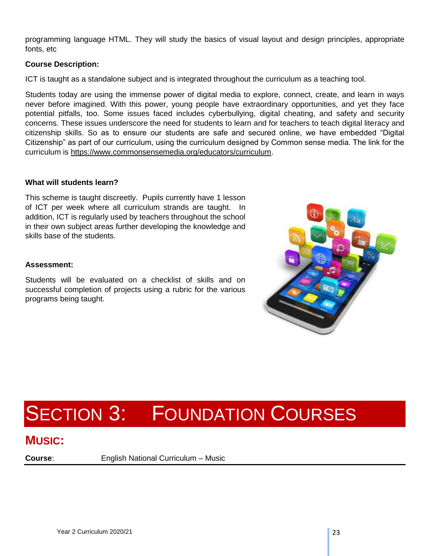programming language HTML. They will study the basics of visual layout and design principles, appropriate fonts, etc

#### **Course Description:**

ICT is taught as a standalone subject and is integrated throughout the curriculum as a teaching tool.

Students today are using the immense power of digital media to explore, connect, create, and learn in ways never before imagined. With this power, young people have extraordinary opportunities, and yet they face potential pitfalls, too. Some issues faced includes cyberbullying, digital cheating, and safety and security concerns. These issues underscore the need for students to learn and for teachers to teach digital literacy and citizenship skills. So as to ensure our students are safe and secured online, we have embedded "Digital Citizenship" as part of our curriculum, using the curriculum designed by Common sense media. The link for the curriculum is [https://www.commonsensemedia.org/educators/curriculum.](https://www.commonsensemedia.org/educators/curriculum)

#### **What will students learn?**

This scheme is taught discreetly. Pupils currently have 1 lesson of ICT per week where all curriculum strands are taught. In addition, ICT is regularly used by teachers throughout the school in their own subject areas further developing the knowledge and skills base of the students.

#### **Assessment:**

Students will be evaluated on a checklist of skills and on successful completion of projects using a rubric for the various programs being taught.



# SECTION 3: FOUNDATION COURSES

### **MUSIC:**

**Course**: English National Curriculum – Music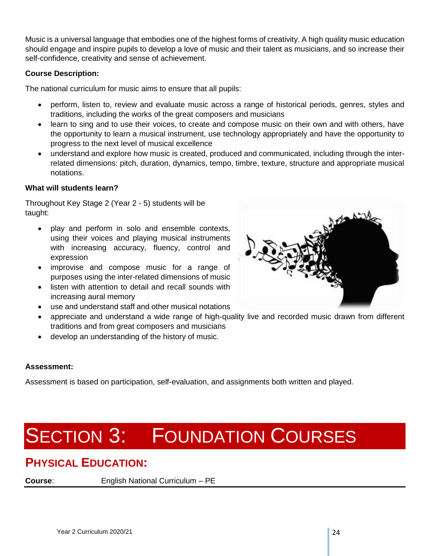Music is a universal language that embodies one of the highest forms of creativity. A high quality music education should engage and inspire pupils to develop a love of music and their talent as musicians, and so increase their self-confidence, creativity and sense of achievement.

#### **Course Description:**

The national curriculum for music aims to ensure that all pupils:

- perform, listen to, review and evaluate music across a range of historical periods, genres, styles and traditions, including the works of the great composers and musicians
- learn to sing and to use their voices, to create and compose music on their own and with others, have the opportunity to learn a musical instrument, use technology appropriately and have the opportunity to progress to the next level of musical excellence
- understand and explore how music is created, produced and communicated, including through the interrelated dimensions: pitch, duration, dynamics, tempo, timbre, texture, structure and appropriate musical notations.

#### **What will students learn?**

Throughout Key Stage 2 (Year 2 - 5) students will be taught:

- play and perform in solo and ensemble contexts, using their voices and playing musical instruments with increasing accuracy, fluency, control and expression
- improvise and compose music for a range of purposes using the inter-related dimensions of music
- listen with attention to detail and recall sounds with increasing aural memory
- use and understand staff and other musical notations
- appreciate and understand a wide range of high-quality live and recorded music drawn from different traditions and from great composers and musicians
- develop an understanding of the history of music.

#### **Assessment:**

Assessment is based on participation, self-evaluation, and assignments both written and played.

## SECTION 3: FOUNDATION COURSES

### **PHYSICAL EDUCATION:**

**Course**: English National Curriculum – PE

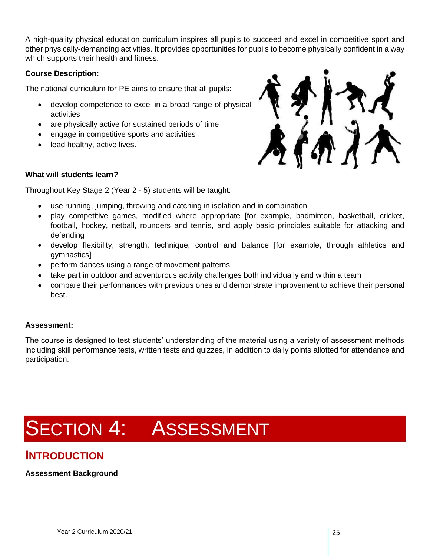A high-quality physical education curriculum inspires all pupils to succeed and excel in competitive sport and other physically-demanding activities. It provides opportunities for pupils to become physically confident in a way which supports their health and fitness.

#### **Course Description:**

The national curriculum for PE aims to ensure that all pupils:

- develop competence to excel in a broad range of physical activities
- are physically active for sustained periods of time
- engage in competitive sports and activities
- lead healthy, active lives.

#### **What will students learn?**



Throughout Key Stage 2 (Year 2 - 5) students will be taught:

- use running, jumping, throwing and catching in isolation and in combination
- play competitive games, modified where appropriate [for example, badminton, basketball, cricket, football, hockey, netball, rounders and tennis, and apply basic principles suitable for attacking and defending
- develop flexibility, strength, technique, control and balance [for example, through athletics and gymnastics]
- perform dances using a range of movement patterns
- take part in outdoor and adventurous activity challenges both individually and within a team
- compare their performances with previous ones and demonstrate improvement to achieve their personal best.

#### **Assessment:**

The course is designed to test students' understanding of the material using a variety of assessment methods including skill performance tests, written tests and quizzes, in addition to daily points allotted for attendance and participation.

# SECTION 4: ASSESSMENT

## **INTRODUCTION**

**Assessment Background**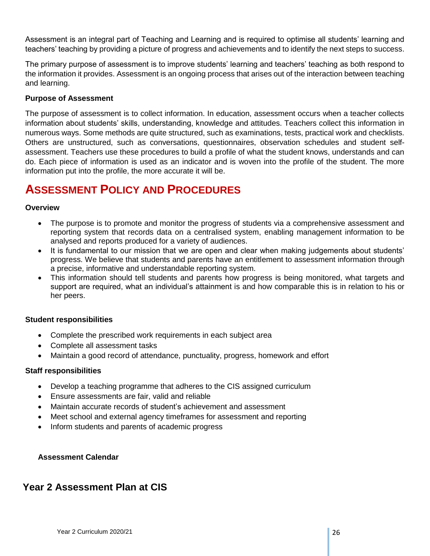Assessment is an integral part of Teaching and Learning and is required to optimise all students' learning and teachers' teaching by providing a picture of progress and achievements and to identify the next steps to success.

The primary purpose of assessment is to improve students' learning and teachers' teaching as both respond to the information it provides. Assessment is an ongoing process that arises out of the interaction between teaching and learning.

#### **Purpose of Assessment**

The purpose of assessment is to collect information. In education, assessment occurs when a teacher collects information about students' skills, understanding, knowledge and attitudes. Teachers collect this information in numerous ways. Some methods are quite structured, such as examinations, tests, practical work and checklists. Others are unstructured, such as conversations, questionnaires, observation schedules and student selfassessment. Teachers use these procedures to build a profile of what the student knows, understands and can do. Each piece of information is used as an indicator and is woven into the profile of the student. The more information put into the profile, the more accurate it will be.

## **ASSESSMENT POLICY AND PROCEDURES**

#### **Overview**

- The purpose is to promote and monitor the progress of students via a comprehensive assessment and reporting system that records data on a centralised system, enabling management information to be analysed and reports produced for a variety of audiences.
- It is fundamental to our mission that we are open and clear when making judgements about students' progress. We believe that students and parents have an entitlement to assessment information through a precise, informative and understandable reporting system.
- This information should tell students and parents how progress is being monitored, what targets and support are required, what an individual's attainment is and how comparable this is in relation to his or her peers.

#### **Student responsibilities**

- Complete the prescribed work requirements in each subject area
- Complete all assessment tasks
- Maintain a good record of attendance, punctuality, progress, homework and effort

#### **Staff responsibilities**

- Develop a teaching programme that adheres to the CIS assigned curriculum
- Ensure assessments are fair, valid and reliable
- Maintain accurate records of student's achievement and assessment
- Meet school and external agency timeframes for assessment and reporting
- Inform students and parents of academic progress

#### **Assessment Calendar**

### **Year 2 Assessment Plan at CIS**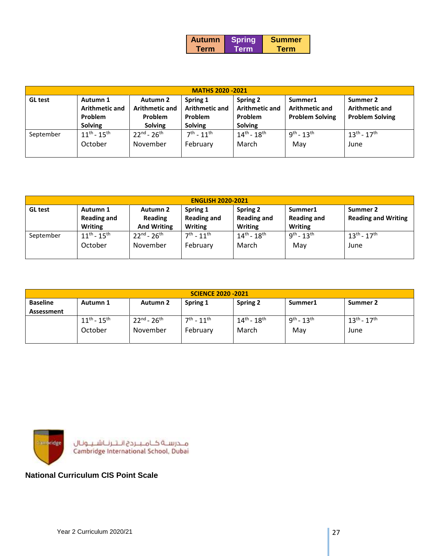| <b>Autumn</b> | <b>Spring</b> | <b>Summer</b> |
|---------------|---------------|---------------|
| Term          | Term          | Term          |

| <b>MATHS 2020 -2021</b> |                                                                |                                                                              |                                                                |                                                                |                                                            |                                                             |
|-------------------------|----------------------------------------------------------------|------------------------------------------------------------------------------|----------------------------------------------------------------|----------------------------------------------------------------|------------------------------------------------------------|-------------------------------------------------------------|
| <b>GL test</b>          | Autumn 1<br><b>Arithmetic and</b><br>Problem<br><b>Solving</b> | <b>Autumn 2</b><br><b>Arithmetic and</b><br><b>Problem</b><br><b>Solving</b> | Spring 1<br><b>Arithmetic and</b><br>Problem<br><b>Solving</b> | Spring 2<br><b>Arithmetic and</b><br>Problem<br><b>Solving</b> | Summer1<br><b>Arithmetic and</b><br><b>Problem Solving</b> | Summer 2<br><b>Arithmetic and</b><br><b>Problem Solving</b> |
| September               | $11^{th} - 15^{th}$<br>October                                 | $22^{nd} - 26^{th}$<br>November                                              | $7^{th}$ - 11 <sup>th</sup><br>February                        | $14^{th}$ - $18^{th}$<br>March                                 | $9^{th} - 13^{th}$<br>May                                  | $13^{th} - 17^{th}$<br>June                                 |

| <b>ENGLISH 2020-2021</b> |                                                  |                                           |                                                  |                                                  |                                                 |                                        |
|--------------------------|--------------------------------------------------|-------------------------------------------|--------------------------------------------------|--------------------------------------------------|-------------------------------------------------|----------------------------------------|
| <b>GL</b> test           | Autumn 1<br><b>Reading and</b><br><b>Writing</b> | Autumn 2<br>Reading<br><b>And Writing</b> | Spring 1<br><b>Reading and</b><br><b>Writing</b> | Spring 2<br><b>Reading and</b><br><b>Writing</b> | Summer1<br><b>Reading and</b><br><b>Writing</b> | Summer 2<br><b>Reading and Writing</b> |
| September                | $11^{th} - 15^{th}$<br>October                   | $22^{nd} - 26^{th}$<br>November           | $7^{th}$ - 11 <sup>th</sup><br>February          | $14^{th}$ - $18^{th}$<br>March                   | $9^{th}$ - $13^{th}$<br>May                     | $13^{th}$ - $17^{th}$<br>June          |

| <b>SCIENCE 2020 - 2021</b> |                     |                     |                             |                     |                    |                     |
|----------------------------|---------------------|---------------------|-----------------------------|---------------------|--------------------|---------------------|
| <b>Baseline</b>            | Autumn 1            | <b>Autumn 2</b>     | Spring 1                    | <b>Spring 2</b>     | Summer1            | Summer 2            |
| Assessment                 |                     |                     |                             |                     |                    |                     |
|                            | $11^{th} - 15^{th}$ | $22^{nd} - 26^{th}$ | $7^{th}$ - 11 <sup>th</sup> | $14^{th} - 18^{th}$ | $9^{th} - 13^{th}$ | $13^{th} - 17^{th}$ |
|                            | October             | November            | February                    | March               | May                | June                |
|                            |                     |                     |                             |                     |                    |                     |



#### **National Curriculum CIS Point Scale**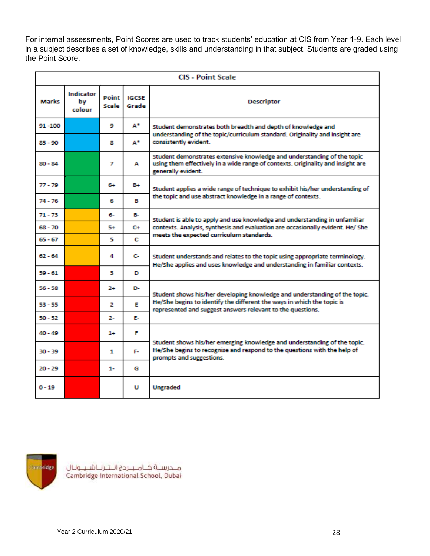For internal assessments, Point Scores are used to track students' education at CIS from Year 1-9. Each level in a subject describes a set of knowledge, skills and understanding in that subject. Students are graded using the Point Score.

| <b>CIS - Point Scale</b> |                                  |                |                       |                                                                                                                                                                                  |  |
|--------------------------|----------------------------------|----------------|-----------------------|----------------------------------------------------------------------------------------------------------------------------------------------------------------------------------|--|
| Marks                    | <b>Indicator</b><br>bv<br>colour | Point<br>Scale | <b>IGCSE</b><br>Grade | <b>Descriptor</b>                                                                                                                                                                |  |
| 91-100                   |                                  | 9              | д.                    | Student demonstrates both breadth and depth of knowledge and                                                                                                                     |  |
| 85 - 90                  |                                  | 8              | А.                    | understanding of the topic/curriculum standard. Originality and insight are<br>consistently evident.                                                                             |  |
| 80 - 84                  |                                  | 7              | Δ                     | Student demonstrates extensive knowledge and understanding of the topic<br>using them effectively in a wide range of contexts. Originality and insight are<br>generally evident. |  |
| 77 - 79                  |                                  | 6+             | B+                    | Student applies a wide range of technique to exhibit his/her understanding of                                                                                                    |  |
| $74 - 76$                |                                  | 6              | в                     | the topic and use abstract knowledge in a range of contexts.                                                                                                                     |  |
| $71 - 73$                |                                  | 6-             | в.                    | Student is able to apply and use knowledge and understanding in unfamiliar                                                                                                       |  |
| 68 - 70                  |                                  | 5+             | C+                    | contexts. Analysis, synthesis and evaluation are occasionally evident. He/ She                                                                                                   |  |
| $65 - 67$                |                                  | 5              | c                     | meets the expected curriculum standards.                                                                                                                                         |  |
| $62 - 64$                |                                  | 4              | c.                    | Student understands and relates to the topic using appropriate terminology.<br>He/She applies and uses knowledge and understanding in familiar contexts.                         |  |
| $59 - 61$                |                                  | з              | D                     |                                                                                                                                                                                  |  |
| $56 - 58$                |                                  | $^{2+}$        | D-                    | Student shows his/her developing knowledge and understanding of the topic.                                                                                                       |  |
| $53 - 55$                |                                  | 2              | F                     | He/She begins to identify the different the ways in which the topic is<br>represented and suggest answers relevant to the questions.                                             |  |
| $50 - 52$                |                                  | 2-             | E-                    |                                                                                                                                                                                  |  |
| $40 - 49$                |                                  | $1+$           | F                     | Student shows his/her emerging knowledge and understanding of the topic.                                                                                                         |  |
| 30 - 39                  |                                  | 1              | F-                    | He/She begins to recognise and respond to the questions with the help of<br>prompts and suggestions.                                                                             |  |
| $20 - 29$                |                                  | 1-             | G                     |                                                                                                                                                                                  |  |
| $0 - 19$                 |                                  |                | U                     | <b>Ungraded</b>                                                                                                                                                                  |  |



مـدرسـة كـامـيـردج الـتـرنـاشـيـونـال Cambridge International School, Dubai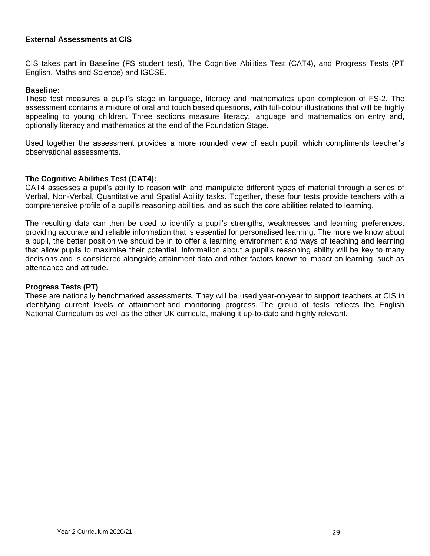#### **External Assessments at CIS**

CIS takes part in Baseline (FS student test), The Cognitive Abilities Test (CAT4), and Progress Tests (PT English, Maths and Science) and IGCSE.

#### **Baseline:**

These test measures a pupil's stage in language, literacy and mathematics upon completion of FS-2. The assessment contains a mixture of oral and touch based questions, with full-colour illustrations that will be highly appealing to young children. Three sections measure literacy, language and mathematics on entry and, optionally literacy and mathematics at the end of the Foundation Stage.

Used together the assessment provides a more rounded view of each pupil, which compliments teacher's observational assessments.

#### **The Cognitive Abilities Test (CAT4):**

CAT4 assesses a pupil's ability to reason with and manipulate different types of material through a series of Verbal, Non-Verbal, Quantitative and Spatial Ability tasks. Together, these four tests provide teachers with a comprehensive profile of a pupil's reasoning abilities, and as such the core abilities related to learning.

The resulting data can then be used to identify a pupil's strengths, weaknesses and learning preferences, providing accurate and reliable information that is essential for personalised learning. The more we know about a pupil, the better position we should be in to offer a learning environment and ways of teaching and learning that allow pupils to maximise their potential. Information about a pupil's reasoning ability will be key to many decisions and is considered alongside attainment data and other factors known to impact on learning, such as attendance and attitude.

#### **Progress Tests (PT)**

These are nationally benchmarked assessments. They will be used year-on-year to support teachers at CIS in identifying current levels of attainment and monitoring progress. The group of tests reflects the English National Curriculum as well as the other UK curricula, making it up-to-date and highly relevant.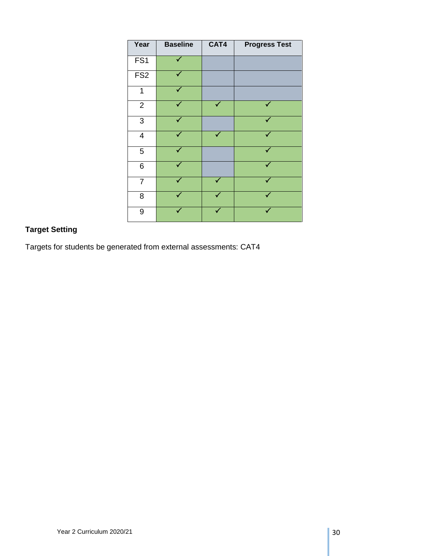| Year                    | <b>Baseline</b> | CAT4 | <b>Progress Test</b> |
|-------------------------|-----------------|------|----------------------|
| FS <sub>1</sub>         |                 |      |                      |
| FS <sub>2</sub>         |                 |      |                      |
| 1                       |                 |      |                      |
| $\overline{2}$          |                 |      | ✓                    |
| 3                       |                 |      | ✓                    |
| $\overline{\mathbf{4}}$ |                 | √    |                      |
| 5                       |                 |      |                      |
| 6                       |                 |      |                      |
| $\overline{7}$          |                 |      |                      |
| 8                       |                 |      |                      |
| 9                       |                 |      |                      |

### **Target Setting**

Targets for students be generated from external assessments: CAT4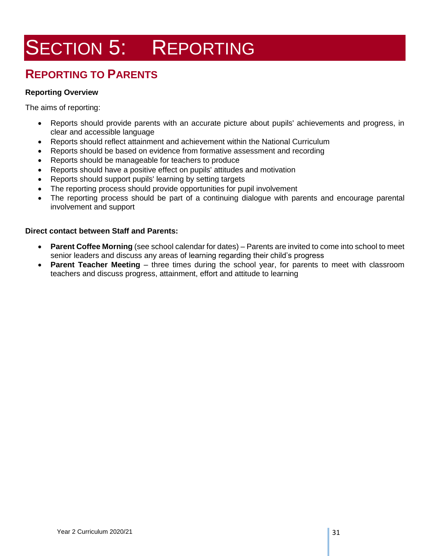# SECTION 5: REPORTING

## **REPORTING TO PARENTS**

#### **Reporting Overview**

The aims of reporting:

- Reports should provide parents with an accurate picture about pupils' achievements and progress, in clear and accessible language
- Reports should reflect attainment and achievement within the National Curriculum
- Reports should be based on evidence from formative assessment and recording
- Reports should be manageable for teachers to produce
- Reports should have a positive effect on pupils' attitudes and motivation
- Reports should support pupils' learning by setting targets
- The reporting process should provide opportunities for pupil involvement
- The reporting process should be part of a continuing dialogue with parents and encourage parental involvement and support

#### **Direct contact between Staff and Parents:**

- **Parent Coffee Morning** (see school calendar for dates) Parents are invited to come into school to meet senior leaders and discuss any areas of learning regarding their child's progress
- **Parent Teacher Meeting** three times during the school year, for parents to meet with classroom teachers and discuss progress, attainment, effort and attitude to learning